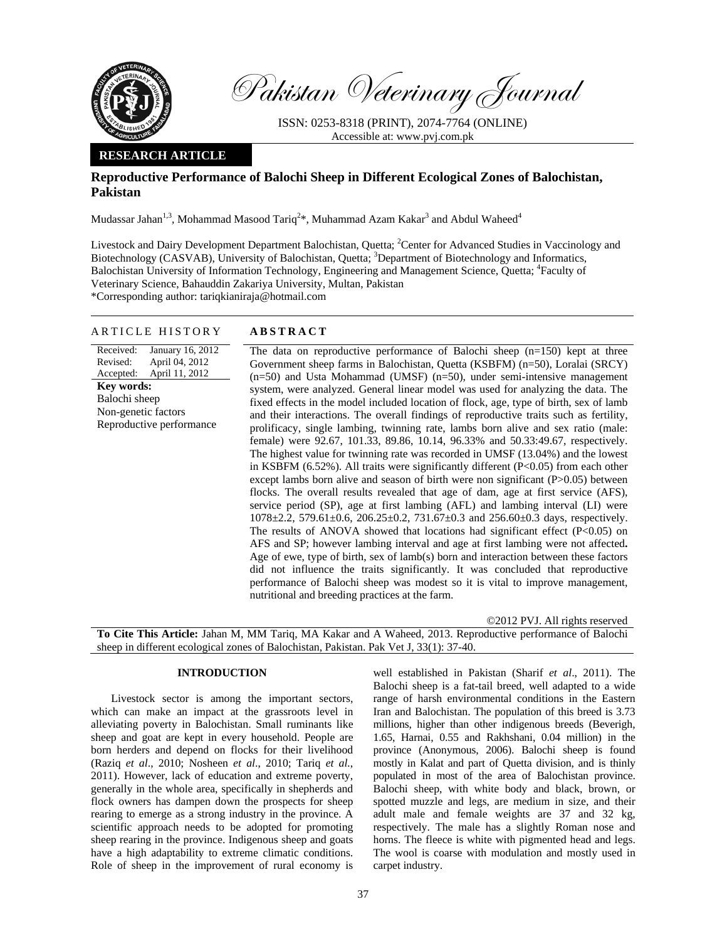

Pakistan Veterinary Journal

ISSN: 0253-8318 (PRINT), 2074-7764 (ONLINE) Accessible at: www.pvj.com.pk

## **RESEARCH ARTICLE**

# **Reproductive Performance of Balochi Sheep in Different Ecological Zones of Balochistan, Pakistan**

Mudassar Jahan $^{1,3}$ , Mohammad Masood Tariq $^{2*}$ , Muhammad Azam Kakar $^3$  and Abdul Waheed $^4$ 

Livestock and Dairy Development Department Balochistan, Quetta; <sup>2</sup>Center for Advanced Studies in Vaccinology and Biotechnology (CASVAB), University of Balochistan, Quetta; <sup>3</sup>Department of Biotechnology and Informatics, Balochistan University of Information Technology, Engineering and Management Science, Quetta; <sup>4</sup>Faculty of Veterinary Science, Bahauddin Zakariya University, Multan, Pakistan

\*Corresponding author: tariqkianiraja@hotmail.com

## ARTICLE HISTORY **ABSTRACT**

Received: Revised: Accepted: January 16, 2012 April 04, 2012 April 11, 2012 **Key words:**  Balochi sheep Non-genetic factors Reproductive performance

The data on reproductive performance of Balochi sheep  $(n=150)$  kept at three Government sheep farms in Balochistan, Quetta (KSBFM) (n=50), Loralai (SRCY) (n=50) and Usta Mohammad (UMSF) (n=50), under semi-intensive management system, were analyzed. General linear model was used for analyzing the data. The fixed effects in the model included location of flock, age, type of birth, sex of lamb and their interactions. The overall findings of reproductive traits such as fertility, prolificacy, single lambing, twinning rate, lambs born alive and sex ratio (male: female) were 92.67, 101.33, 89.86, 10.14, 96.33% and 50.33:49.67, respectively. The highest value for twinning rate was recorded in UMSF (13.04%) and the lowest in KSBFM  $(6.52\%)$ . All traits were significantly different  $(P<0.05)$  from each other except lambs born alive and season of birth were non significant (P>0.05) between flocks. The overall results revealed that age of dam, age at first service (AFS), service period (SP), age at first lambing (AFL) and lambing interval (LI) were 1078±2.2, 579.61±0.6, 206.25±0.2, 731.67±0.3 and 256.60±0.3 days, respectively. The results of ANOVA showed that locations had significant effect  $(P<0.05)$  on AFS and SP; however lambing interval and age at first lambing were not affected**.** Age of ewe, type of birth, sex of lamb(s) born and interaction between these factors did not influence the traits significantly. It was concluded that reproductive performance of Balochi sheep was modest so it is vital to improve management, nutritional and breeding practices at the farm.

©2012 PVJ. All rights reserved

**To Cite This Article:** Jahan M, MM Tariq, MA Kakar and A Waheed, 2013. Reproductive performance of Balochi sheep in different ecological zones of Balochistan, Pakistan. Pak Vet J, 33(1): 37-40.

## **INTRODUCTION**

Livestock sector is among the important sectors, which can make an impact at the grassroots level in alleviating poverty in Balochistan. Small ruminants like sheep and goat are kept in every household. People are born herders and depend on flocks for their livelihood (Raziq *et al*., 2010; Nosheen *et al*., 2010; Tariq *et al.*, 2011). However, lack of education and extreme poverty, generally in the whole area, specifically in shepherds and flock owners has dampen down the prospects for sheep rearing to emerge as a strong industry in the province. A scientific approach needs to be adopted for promoting sheep rearing in the province. Indigenous sheep and goats have a high adaptability to extreme climatic conditions. Role of sheep in the improvement of rural economy is

well established in Pakistan (Sharif *et al*., 2011). The Balochi sheep is a fat-tail breed, well adapted to a wide range of harsh environmental conditions in the Eastern Iran and Balochistan. The population of this breed is 3.73 millions, higher than other indigenous breeds (Beverigh, 1.65, Harnai, 0.55 and Rakhshani, 0.04 million) in the province (Anonymous, 2006). Balochi sheep is found mostly in Kalat and part of Quetta division, and is thinly populated in most of the area of Balochistan province. Balochi sheep, with white body and black, brown, or spotted muzzle and legs, are medium in size, and their adult male and female weights are 37 and 32 kg, respectively. The male has a slightly Roman nose and horns. The fleece is white with pigmented head and legs. The wool is coarse with modulation and mostly used in carpet industry.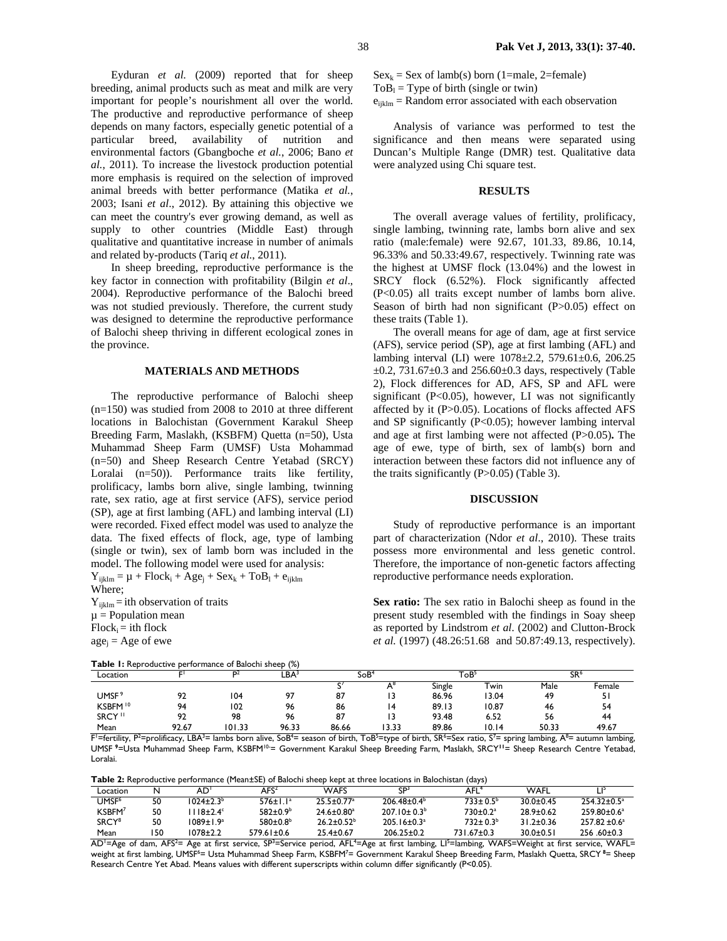Eyduran *et al.* (2009) reported that for sheep breeding, animal products such as meat and milk are very important for people's nourishment all over the world. The productive and reproductive performance of sheep depends on many factors, especially genetic potential of a particular breed, availability of nutrition and environmental factors (Gbangboche *et al.*, 2006; Bano *et al.*, 2011). To increase the livestock production potential more emphasis is required on the selection of improved animal breeds with better performance (Matika *et al.*, 2003; Isani *et al*., 2012). By attaining this objective we can meet the country's ever growing demand, as well as supply to other countries (Middle East) through qualitative and quantitative increase in number of animals and related by-products (Tariq *et al.*, 2011).

In sheep breeding, reproductive performance is the key factor in connection with profitability (Bilgin *et al*., 2004). Reproductive performance of the Balochi breed was not studied previously. Therefore, the current study was designed to determine the reproductive performance of Balochi sheep thriving in different ecological zones in the province.

## **MATERIALS AND METHODS**

The reproductive performance of Balochi sheep (n=150) was studied from 2008 to 2010 at three different locations in Balochistan (Government Karakul Sheep Breeding Farm, Maslakh, (KSBFM) Quetta (n=50), Usta Muhammad Sheep Farm (UMSF) Usta Mohammad (n=50) and Sheep Research Centre Yetabad (SRCY) Loralai (n=50)). Performance traits like fertility, prolificacy, lambs born alive, single lambing, twinning rate, sex ratio, age at first service (AFS), service period (SP), age at first lambing (AFL) and lambing interval (LI) were recorded. Fixed effect model was used to analyze the data. The fixed effects of flock, age, type of lambing (single or twin), sex of lamb born was included in the model. The following model were used for analysis:

 $Y_{iiklm} = \mu + Flock_i + Age_i + Sex_k + ToB_1 + e_{iiklm}$ Where;  $Y_{ijklm} =$ ith observation of traits  $\mu$  = Population mean  $Flock<sub>i</sub> = *i*th flock$ 

**Table 1:** Reproductive performance of Balochi sheep (%)

```
age_i = Age of ewe
```

| Location            |     | ״מ  | ∟BA`    | SoB"   |     | `oB`               |       | SR <sup>6</sup> |        |
|---------------------|-----|-----|---------|--------|-----|--------------------|-------|-----------------|--------|
|                     |     |     |         |        | . . | <b>.</b><br>Single | win   | Male            | -emale |
| <b>UMSF</b>         | . . | 104 | $\sim$  | $\sim$ |     | 86.96              | 3.04  | 40              |        |
| KSBFM <sup>10</sup> | ۵۸  | 102 | 96<br>w | 86     |     | 0012<br>07.IJ      | 10.87 | 46              |        |

Mean 92.67 101.33 96.33 86.66 13.33 89.86 10.14 50.33 49.67 F'=fertility, P<sup>2</sup>=prolificacy, LBA<sup>3</sup>= lambs born alive, SoB<sup>4</sup>= season of birth, ToB<sup>5</sup>=type of birth, SR<sup>6</sup>=Sex ratio, S<sup>7</sup>= spring lambing, A<sup>8</sup>= autumn lambing, UMSF**<sup>9</sup>**=Usta Muhammad Sheep Farm, KSBFM10-= Government Karakul Sheep Breeding Farm, Maslakh, SRCY**<sup>11</sup>**= Sheep Research Centre Yetabad, Loralai.

SRCY 11 92 98 96 87 13 93.48 6.52 56 44

**Table 2:** Reproductive performance (Mean±SE) of Balochi sheep kept at three locations in Balochistan (days)

| .                  |    |                          |                       |                            |                          |                            |               |                    |  |
|--------------------|----|--------------------------|-----------------------|----------------------------|--------------------------|----------------------------|---------------|--------------------|--|
| Location           |    | AD                       | AFS'                  | WAFS                       | ۲P.                      | AFL                        | WAFL          |                    |  |
| UMSF <sup>6</sup>  | 50 | $1024 + 2.3b$            | $576 \pm 1.1^a$       | $25.5 + 0.77$ <sup>a</sup> | $206.48 + 0.4b$          | $733 + 0.5b$               | $30.0 + 0.45$ | $254.32 + 0.5^a$   |  |
| KSBFM <sup>7</sup> | 50 | $118\pm2.4$ <sup>c</sup> | 582±0.9 <sup>b</sup>  | $24.6 \pm 0.80^a$          | $207.10 \pm 0.3^b$       | $730 \pm 0.2$ <sup>a</sup> | 28.9+0.62     | $259.80 + 0.6a$    |  |
| SRCY <sup>8</sup>  | 50 | 1089±1.9ª                | $580 \pm 0.8^{\circ}$ | $26.2 + 0.52b$             | $205.16 \pm 0.3^{\circ}$ | $732 + 0.3b$               | $31.2 + 0.36$ | $257.82 \pm 0.6^a$ |  |
| Mean               | 50 | 1078±2.2                 | $579.61 \pm 0.6$      | $25.4 \pm 0.67$            | $206.25 \pm 0.2$         | 731.67±0.3                 | $30.0 + 0.51$ | $256.60 \pm 0.3$   |  |

AD<sup>1</sup>=Age of dam, AFS<sup>2</sup>= Age at first service, SP<sup>3</sup>=Service period, AFL<sup>4</sup>=Age at first lambing, LI<sup>5</sup>=lambing, WAFS=Weight at first service, WAFL= weight at first lambing, UMSF<sup>6</sup>= Usta Muhammad Sheep Farm, KSBFM<sup>7</sup>= Government Karakul Sheep Breeding Farm, Maslakh Quetta, SRCY <sup>8</sup>= Sheep Research Centre Yet Abad. Means values with different superscripts within column differ significantly (P<0.05).

 $Sex_k = Sex$  of lamb(s) born (1=male, 2=female)  $T \circ B_1 = T$  vpe of birth (single or twin)

 $e_{iiklm}$  = Random error associated with each observation

Analysis of variance was performed to test the significance and then means were separated using Duncan's Multiple Range (DMR) test. Qualitative data were analyzed using Chi square test.

## **RESULTS**

The overall average values of fertility, prolificacy, single lambing, twinning rate, lambs born alive and sex ratio (male:female) were 92.67, 101.33, 89.86, 10.14, 96.33% and 50.33:49.67, respectively. Twinning rate was the highest at UMSF flock (13.04%) and the lowest in SRCY flock (6.52%). Flock significantly affected (P<0.05) all traits except number of lambs born alive. Season of birth had non significant (P>0.05) effect on these traits (Table 1).

The overall means for age of dam, age at first service (AFS), service period (SP), age at first lambing (AFL) and lambing interval (LI) were 1078±2.2, 579.61±0.6, 206.25  $\pm 0.2$ , 731.67 $\pm 0.3$  and 256.60 $\pm 0.3$  days, respectively (Table 2), Flock differences for AD, AFS, SP and AFL were significant (P<0.05), however, LI was not significantly affected by it (P>0.05). Locations of flocks affected AFS and SP significantly (P<0.05); however lambing interval and age at first lambing were not affected (P>0.05)**.** The age of ewe, type of birth, sex of lamb(s) born and interaction between these factors did not influence any of the traits significantly  $(P>0.05)$  (Table 3).

#### **DISCUSSION**

Study of reproductive performance is an important part of characterization (Ndor *et al*., 2010). These traits possess more environmental and less genetic control. Therefore, the importance of non-genetic factors affecting reproductive performance needs exploration.

**Sex ratio:** The sex ratio in Balochi sheep as found in the present study resembled with the findings in Soay sheep as reported by Lindstrom *et al*. (2002) and Clutton-Brock *et al.* (1997) (48.26:51.68 and 50.87:49.13, respectively).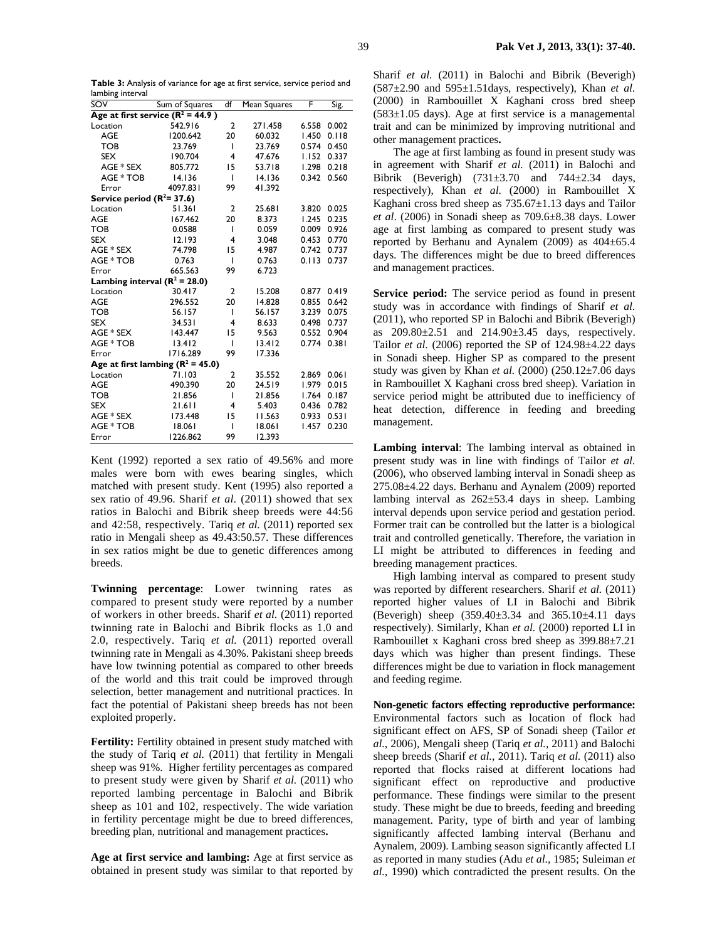| Table 3: Analysis of variance for age at first service, service period and |  |  |
|----------------------------------------------------------------------------|--|--|
| lambing interval                                                           |  |  |

| SOV                                 | Sum of Squares | df             | Mean Squares | F     | Sig.  |  |  |  |  |
|-------------------------------------|----------------|----------------|--------------|-------|-------|--|--|--|--|
| Age at first service $(R^2 = 44.9)$ |                |                |              |       |       |  |  |  |  |
| Location                            | 542.916        | $\overline{2}$ | 271.458      | 6.558 | 0.002 |  |  |  |  |
| <b>AGE</b>                          | 1200.642       | 20             | 60.032       | 1.450 | 0.118 |  |  |  |  |
| <b>TOB</b>                          | 23.769         | ı              | 23.769       | 0.574 | 0.450 |  |  |  |  |
| <b>SEX</b>                          | 190.704        | 4              | 47.676       | 1.152 | 0.337 |  |  |  |  |
| AGE * SEX                           | 805.772        | 15             | 53.718       | 1.298 | 0.218 |  |  |  |  |
| AGE * TOB                           | 14.136         | T              | 14.136       | 0.342 | 0.560 |  |  |  |  |
| Error                               | 4097.831       | 99             | 41.392       |       |       |  |  |  |  |
| Service period $(R^2=37.6)$         |                |                |              |       |       |  |  |  |  |
| Location                            | 51.361         | $\overline{2}$ | 25.681       | 3.820 | 0.025 |  |  |  |  |
| <b>AGE</b>                          | 167.462        | 20             | 8.373        | 1.245 | 0.235 |  |  |  |  |
| <b>TOB</b>                          | 0.0588         | T              | 0.059        | 0.009 | 0.926 |  |  |  |  |
| <b>SEX</b>                          | 12.193         | 4              | 3.048        | 0.453 | 0.770 |  |  |  |  |
| AGE * SEX                           | 74.798         | 15             | 4.987        | 0.742 | 0.737 |  |  |  |  |
| AGE * TOB                           | 0.763          | ı              | 0.763        | 0.113 | 0.737 |  |  |  |  |
| Error                               | 665.563        | 99             | 6.723        |       |       |  |  |  |  |
| Lambing interval $(R^2 = 28.0)$     |                |                |              |       |       |  |  |  |  |
| Location                            | 30.417         | $\mathbf{2}$   | 15.208       | 0.877 | 0.419 |  |  |  |  |
| <b>AGE</b>                          | 296.552        | 20             | 14.828       | 0.855 | 0.642 |  |  |  |  |
| <b>TOB</b>                          | 56.157         | ı              | 56.157       | 3.239 | 0.075 |  |  |  |  |
| <b>SEX</b>                          | 34.531         | 4              | 8.633        | 0.498 | 0.737 |  |  |  |  |
| AGE * SEX                           | 143.447        | 15             | 9.563        | 0.552 | 0.904 |  |  |  |  |
| AGE * TOB                           | 13.412         | ı              | 13.412       | 0.774 | 0.381 |  |  |  |  |
| Error                               | 1716.289       | 99             | 17.336       |       |       |  |  |  |  |
| Age at first lambing $(R^2 = 45.0)$ |                |                |              |       |       |  |  |  |  |
| Location                            | 71.103         | $\overline{2}$ | 35.552       | 2.869 | 0.061 |  |  |  |  |
| <b>AGE</b>                          | 490.390        | 20             | 24.519       | 1.979 | 0.015 |  |  |  |  |
| <b>TOB</b>                          | 21.856         | ı              | 21.856       | 1.764 | 0.187 |  |  |  |  |
| <b>SEX</b>                          | 21.611         | 4              | 5.403        | 0.436 | 0.782 |  |  |  |  |
| AGE * SEX                           | 173.448        | 15             | 11.563       | 0.933 | 0.531 |  |  |  |  |
| AGE * TOB                           | 18.061         | ı              | 18.061       | 1.457 | 0.230 |  |  |  |  |
| Error                               | 1226.862       | 99             | 12.393       |       |       |  |  |  |  |

Kent (1992) reported a sex ratio of 49.56% and more males were born with ewes bearing singles, which matched with present study. Kent (1995) also reported a sex ratio of 49.96. Sharif *et al.* (2011) showed that sex ratios in Balochi and Bibrik sheep breeds were 44:56 and 42:58, respectively. Tariq *et al.* (2011) reported sex ratio in Mengali sheep as 49.43:50.57. These differences in sex ratios might be due to genetic differences among breeds.

**Twinning percentage**: Lower twinning rates as compared to present study were reported by a number of workers in other breeds. Sharif *et al.* (2011) reported twinning rate in Balochi and Bibrik flocks as 1.0 and 2.0, respectively. Tariq *et al.* (2011) reported overall twinning rate in Mengali as 4.30%. Pakistani sheep breeds have low twinning potential as compared to other breeds of the world and this trait could be improved through selection, better management and nutritional practices. In fact the potential of Pakistani sheep breeds has not been exploited properly.

Fertility: Fertility obtained in present study matched with the study of Tariq *et al.* (2011) that fertility in Mengali sheep was 91%. Higher fertility percentages as compared to present study were given by Sharif *et al.* (2011) who reported lambing percentage in Balochi and Bibrik sheep as 101 and 102, respectively. The wide variation in fertility percentage might be due to breed differences, breeding plan, nutritional and management practices**.** 

**Age at first service and lambing:** Age at first service as obtained in present study was similar to that reported by Sharif *et al.* (2011) in Balochi and Bibrik (Beverigh)  $(587\pm2.90)$  and  $595\pm1.51$  days, respectively). Khan *et al.* (2000) in Rambouillet X Kaghani cross bred sheep  $(583±1.05 \text{ days})$ . Age at first service is a managemental trait and can be minimized by improving nutritional and other management practices**.** 

The age at first lambing as found in present study was in agreement with Sharif *et al.* (2011) in Balochi and Bibrik (Beverigh)  $(731\pm3.70$  and  $744\pm2.34$  days, respectively), Khan *et al.* (2000) in Rambouillet X Kaghani cross bred sheep as  $735.67 \pm 1.13$  days and Tailor *et al*. (2006) in Sonadi sheep as 709.6±8.38 days. Lower age at first lambing as compared to present study was reported by Berhanu and Aynalem (2009) as  $404\pm65.4$ days. The differences might be due to breed differences and management practices.

**Service period:** The service period as found in present study was in accordance with findings of Sharif *et al.* (2011), who reported SP in Balochi and Bibrik (Beverigh) as 209.80±2.51 and 214.90±3.45 days, respectively. Tailor *et al.* (2006) reported the SP of  $124.98\pm4.22$  days in Sonadi sheep. Higher SP as compared to the present study was given by Khan *et al.* (2000) (250.12±7.06 days in Rambouillet X Kaghani cross bred sheep). Variation in service period might be attributed due to inefficiency of heat detection, difference in feeding and breeding management.

**Lambing interval**: The lambing interval as obtained in present study was in line with findings of Tailor *et al.* (2006), who observed lambing interval in Sonadi sheep as 275.08±4.22 days. Berhanu and Aynalem (2009) reported lambing interval as  $262\pm53.4$  days in sheep. Lambing interval depends upon service period and gestation period. Former trait can be controlled but the latter is a biological trait and controlled genetically. Therefore, the variation in LI might be attributed to differences in feeding and breeding management practices.

High lambing interval as compared to present study was reported by different researchers. Sharif *et al.* (2011) reported higher values of LI in Balochi and Bibrik (Beverigh) sheep (359.40±3.34 and 365.10±4.11 days respectively). Similarly, Khan *et al.* (2000) reported LI in Rambouillet x Kaghani cross bred sheep as 399.88±7.21 days which was higher than present findings. These differences might be due to variation in flock management and feeding regime.

**Non-genetic factors effecting reproductive performance:**  Environmental factors such as location of flock had significant effect on AFS, SP of Sonadi sheep (Tailor *et al.*, 2006), Mengali sheep (Tariq *et al.,* 2011) and Balochi sheep breeds (Sharif *et al.,* 2011). Tariq *et al.* (2011) also reported that flocks raised at different locations had significant effect on reproductive and productive performance. These findings were similar to the present study. These might be due to breeds, feeding and breeding management. Parity, type of birth and year of lambing significantly affected lambing interval (Berhanu and Aynalem, 2009). Lambing season significantly affected LI as reported in many studies (Adu *et al.,* 1985; Suleiman *et al.*, 1990) which contradicted the present results. On the